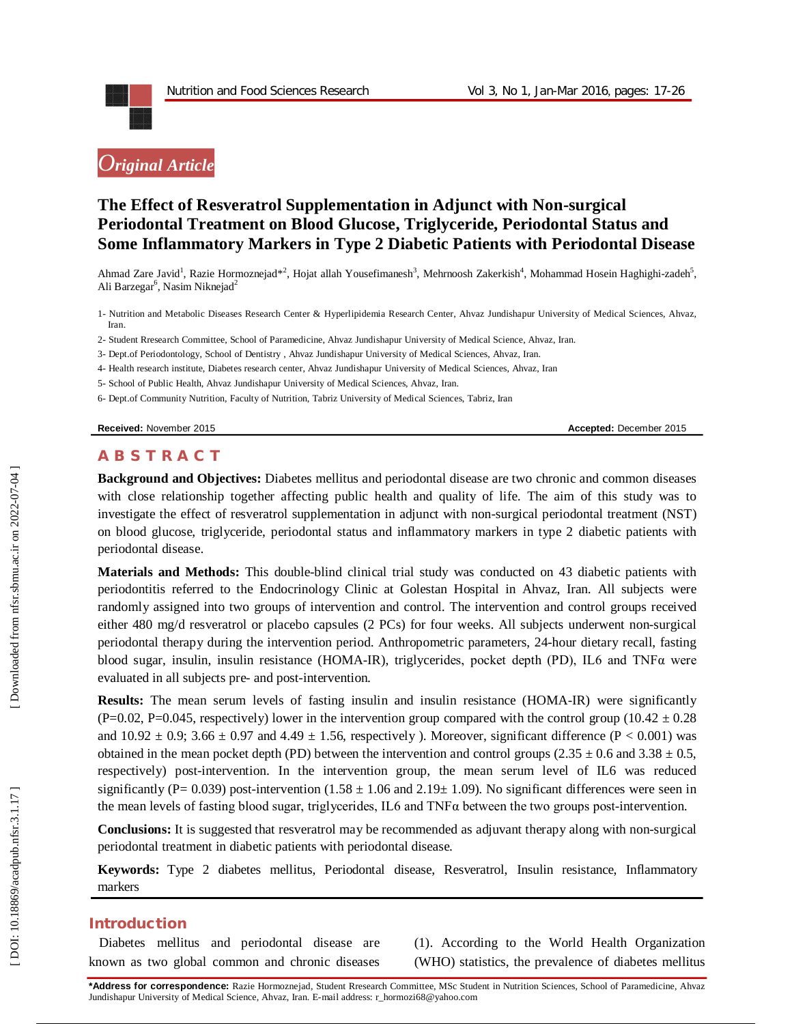# *Original Article*

# **The Effect of Resveratrol Supplementation in Adjunct with Non -surgical Periodontal Treatment on Blood Glucose, Triglyceride, Periodontal Status and Some Inflammatory Markers in Type 2 Diabetic Patients with Periodontal Disease**

Ahmad Zare Javid<sup>1</sup>, Razie Hormoznejad\*<sup>2</sup>, Hojat allah Yousefimanesh<sup>3</sup>, Mehrnoosh Zakerkish<sup>4</sup>, Mohammad Hosein Haghighi-zadeh<sup>5</sup>, Ali Barzegar<sup>6</sup>, Nasim Niknejad<sup>2</sup>

- 1 Nutrition and Metabolic Diseases Research Center & Hyperlipidemia Research Center, Ahvaz Jundishapur University of Medical Sciences, Ahvaz, Iran.
- 2 Student Rresearch Committee, School of Paramedicine, Ahvaz Jundishapur University of Medical Science, Ahvaz, Iran.
- 3 Dept.of Periodontology, School of Dentistry , Ahvaz Jundishapur University of Medical Sciences, Ahvaz, Iran.
- 4 Health research institute, Diabetes research center, Ahvaz Jundishapur University of Medical Sciences, Ahvaz, Iran
- 5 School of Public Health, Ahvaz Jundishapur University of Medical Sciences, Ahvaz, Iran.
- 6 Dept.of Community Nutrition, Faculty of Nutrition, Tabriz University of Medical Sciences, Tabriz, Iran

**Received:** November 201

5 **Accepted:** December 201 5

### **A B S T R A C T**

**Background and Objectives:** Diabetes mellitus and periodontal disease are two chronic and common diseases with close relationship together affecting public health and quality of life. The aim of this study was to investigate the effect of resveratrol supplementation in adjunct with non -surgical periodontal treatment (NST) on blood glucose, triglyceride, periodontal status and inflammatory markers in type 2 diabetic patients with periodontal disease .

**Materials and Methods:** This double -blind clinical trial study was conducted on 43 diabetic patients with periodontitis referred to the Endocrinology Clinic at Golestan Hospital in Ahvaz, Iran. All subjects were randomly assigned into two groups of intervention and control. The intervention and control groups received either 480 mg/d resveratrol or placebo capsules (2 PCs) for four weeks. All subjects underwent non -surgical periodontal therapy during the intervention period. Anthropometric parameters, 24 -hour dietary recall, fasting blood sugar, insulin, insulin resistance (HOMA -IR), triglycerides, pocket depth (PD), IL6 and TNFα were evaluated in all subjects pre - and post -intervention.

**Results:** The mean serum levels of fasting insulin and insulin resistance (HOMA-IR) were significantly (P=0.02, P=0.045, respectively) lower in the intervention group compared with the control group (10.42  $\pm$  0.28 and  $10.92 \pm 0.9$ ;  $3.66 \pm 0.97$  and  $4.49 \pm 1.56$ , respectively ). Moreover, significant difference (P < 0.001) was obtained in the mean pocket depth (PD) between the intervention and control groups (2.35  $\pm$  0.6 and 3.38  $\pm$  0.5, respectively) post -intervention. In the intervention group, the mean serum level of IL6 was reduced significantly (P= 0.039) post-intervention  $(1.58 \pm 1.06$  and  $2.19 \pm 1.09)$ . No significant differences were seen in the mean levels of fasting blood sugar, triglycerides, IL6 and  $TNF\alpha$  between the two groups post-intervention.

**Conclusions:** It is suggested that resveratrol may be recommended as adjuvant therapy along with non -surgical periodontal treatment in diabetic patients with periodontal disease.

**Keywords:** Type 2 diabetes mellitus, Periodontal disease, Resveratrol, Insulin resistance, Inflammatory markers

#### **Introduction**

Diabetes mellitus and periodontal disease are known as two global common and chronic diseases (1). According to the World Health Organization (WHO) statistics, the prevalence of diabetes mellitus

**\*Address for correspondence:** Razie Hormoznejad, Student Rresearch Committee, MSc Student in Nutrition Sciences, School of Paramedicine, Ahvaz Jundishapur University of Medical Science, Ahvaz, Iran. E -mail address: r\_hormozi68@yahoo.com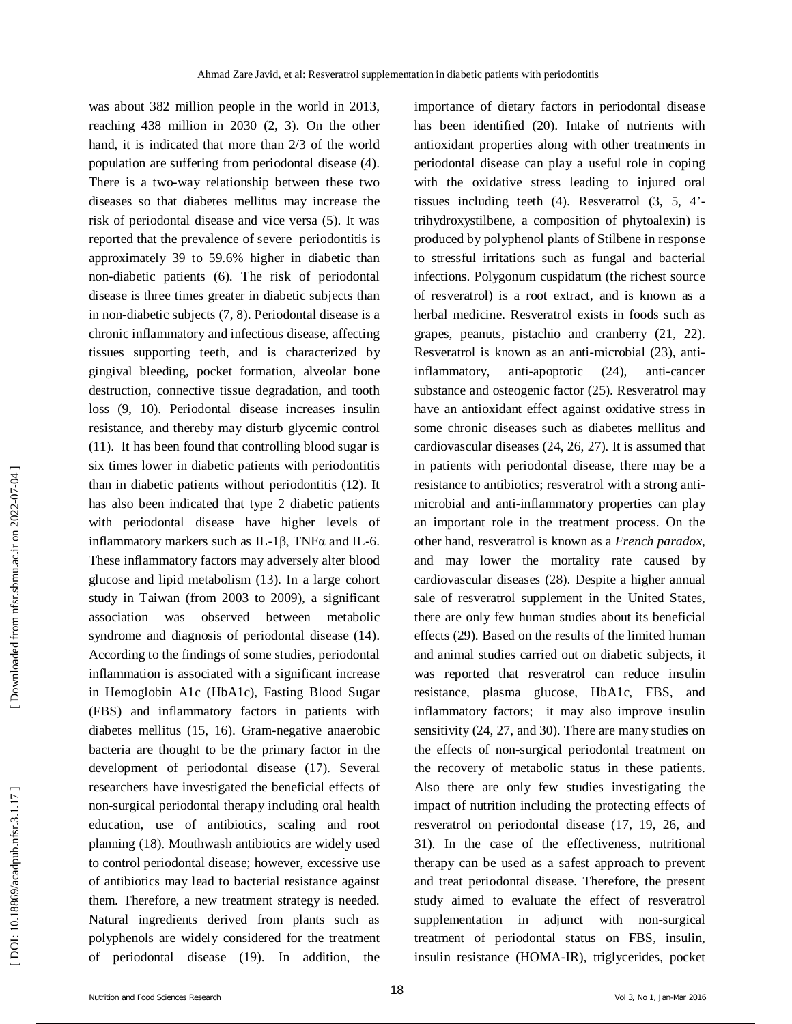was about 382 million people in the world in 2013, reaching 438 million in 2030 (2, 3). On the other hand, it is indicated that more than 2/3 of the world population are suffering from periodontal disease (4). There is a two -way relationship between these two diseases so that diabetes mellitus may increase the risk of periodontal disease and vice versa (5). It was reported that the prevalence of severe periodontitis is approximately 39 to 59.6% higher in diabetic than non -diabetic patients (6). The risk of periodontal disease is three times greater in diabetic subjects than in non -diabetic subjects (7, 8). Periodontal disease is a chronic inflammatory and infectious disease, affecting tissues supporting teeth, and is characterized by gingival bleeding, pocket formation, alveolar bone destruction, connective tissue degradation, and tooth loss (9, 10). Periodontal disease increases insulin resistance, and thereby may disturb glycemic control (11). It has been found that controlling blood sugar is six times lower in diabetic patients with periodontitis than in diabetic patients without periodontitis (12). It has also been indicated that type 2 diabetic patients with periodontal disease have higher levels of inflammatory markers such as IL-1 $\beta$ , TNF $\alpha$  and IL-6. These inflammatory factors may adversely alter blood glucose and lipid metabolism (13). In a large cohort study in Taiwan (from 2003 to 2009), a significant association was observed between metabolic syndrome and diagnosis of periodontal disease (14). According to the findings of some studies, periodontal inflammation is associated with a significant increase in Hemoglobin A1c (HbA1c), Fasting Blood Sugar (FBS) and inflammatory factors in patients with diabetes mellitus (15, 16). Gram -negative anaerobic bacteria are thought to be the primary factor in the development of periodontal disease (17). Several researchers have investigated the beneficial effects of no n -surgical periodontal therapy including oral health education, use of antibiotics, scaling and root planning (18). Mouthwash antibiotics are widely used to control periodontal disease; however, excessive use of antibiotics may lead to bacterial resistance against them. Therefore, a new treatment strategy is needed. Natural ingredients derived from plants such as polyphenols are widely considered for the treatment of periodontal disease (19). In addition, the

importance of dietary factors in periodontal disease has been identified (20). Intake of nutrients with antioxidant properties along with other treatments in periodontal disease can play a useful role in coping with the oxidative stress leading to injured oral tissues including teeth (4). Resveratrol (3, 5, 4' trihydroxystilbene, a composition of phytoalexin) is produced by polyphenol plants of Stilbene in response to stressful irritations such as fungal and bacterial infections. Polygonum cuspidatum (the richest source of resveratrol) is a root extract, and is known as a herbal medicine. Resveratrol exists in foods such as grapes, peanuts, pistachio and cranberry (21, 22) . Resveratrol is known as an anti -microbial (23), anti inflammatory,  $anti-apoptotic$  (24), anti-cancer substance and osteogenic factor (25). Resveratrol may have an antioxidant effect against oxidative stress in some chronic diseases such as diabetes mellitus and cardiovascular diseases (24, 26, 27). It is assumed that in patients with periodontal disease, there may be a resistance to antibiotics; resveratrol with a strong anti microbial and anti -inflammatory properties can play an important role in the treatment process. On the other hand, resveratrol is known as a *French paradox,*  and may lower the mortality rate caused by cardiovascular diseases (28). Despite a higher annual sale of resveratrol supplement in the United States, there are only few human studies about its beneficial effects (29). Based on the results of the limited human and animal studies carried out on diabetic subjects, it was reported that resveratrol can reduce insulin resistance, plasma glucose, HbA1c, FBS, and inflammatory factors; it may also improve insulin sensitivity (24, 27, and 30). There are many studies on the effects of non -surgical periodontal treatment on the recovery of metabolic status in these patients. Also there are only few studies investigating the impact of nutrition including the protecting effects of resveratrol on periodontal disease (17, 19, 26, and 31). In the case of the effectiveness, nutritional therapy can be used as a safest approach to prevent and treat periodontal disease. Therefore, the present study aimed to evaluate the effect of resveratrol supplementation in adjunct with non -surgical treatment of periodontal status on FBS, insulin, insulin resistance (HOMA -IR), triglycerides, pocket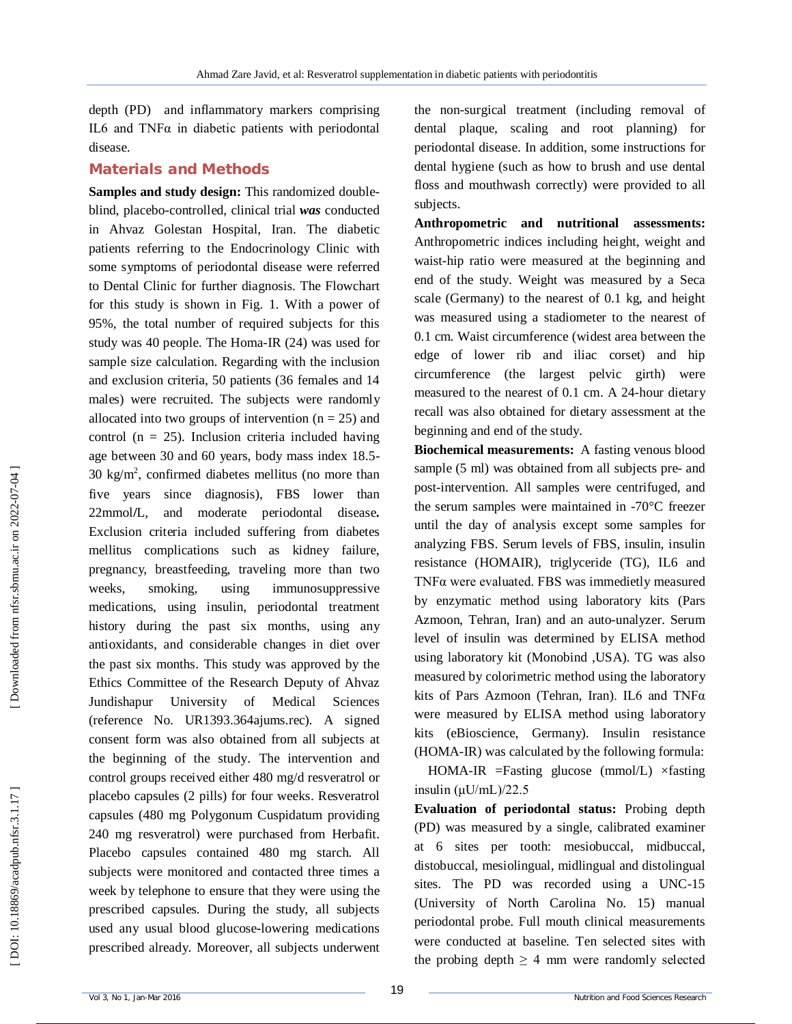depth (PD) and inflammatory markers comprising IL6 and TNF $α$  in diabetic patients with periodontal disease.

### **Material s and Methods**

**Samples and study design :** This randomized double blind, placebo -controlled, clinical trial *was* conducted in Ahvaz Golestan Hospital, Iran . The diabetic patients referring to the Endocrinology Clinic with some symptoms of periodontal disease were referred to Dental Clinic for further diagnosis. The Flowchart for this study is shown in Fig. 1. With a power of 95%, the total number of required subjects for this study was 40 people. The Homa -IR (24) was used for sample size calculation. Regarding with the inclusion and exclusion criteria, 50 patients (36 females and 14 males) were recruited. The subjects were randomly allocated into two groups of intervention  $(n = 25)$  and control ( $n = 25$ ). Inclusion criteria included having age between 30 and 60 years, body mass index 18.5 -  $30 \text{ kg/m}^2$ , confirmed diabetes mellitus (no more than five years since diagnosis), FBS lower than 22mmol **/**L, and moderate periodontal disease **.** Exclusion criteria included suffering from diabetes mellitus complications such as kidney failure, pregnancy, breastfeeding, traveling more than two weeks, smoking, using immunosuppressive medications, using insulin, periodontal treatment history during the past six months, using any antioxidants, and considerable changes in diet over the past six months . This study was approved by the Ethics Committee of the Research Deputy of Ahvaz Jundishapur University of Medical Sciences (reference No. UR1393.364ajums.rec). A signed consent form was also obtained from all subjects at the beginning of the study . The intervention and control groups received either 480 mg/d resveratrol or placebo capsules (2 pills) for four weeks . Resveratrol capsules (480 mg Polygonum Cuspidatum providing 240 mg resveratrol) were purchased from Herbafit. Placebo capsules contained 480 mg starch. All subjects were monitored and contacted three times a week by telephone to ensure that they were using the prescribed capsules. During the study, all subjects used any usual blood glucose **-**lowering medications prescribed already. Moreover, all subjects underwent

the non -surgical treatment (including removal of dental plaque, scaling and root planning) for periodontal disease . In addition, some instructions for dental hygiene (such as how to brush and use dental floss and mouthwash correctly) were provided to all subjects.

**Anthropometric and nutritional assessments:**  Anthropometric indices including height, weight and waist -hip ratio were measured at the beginning and end of the study . Weight was measured by a Seca scale (Germany) to the nearest of 0.1 kg, and height was measured using a stadiometer to the nearest of 0.1 cm. Waist circumference (widest area between the edge of lower rib and iliac corset) and hip circumference (the largest pelvic girth) were measured to the nearest of 0.1 cm . A 24 -hour dietary recall was also obtained for dietary assessment at the beginning and end of the study.

**Biochemical measurements:** A fasting venous blood sample (5 ml) was obtained from all subjects pre- and post -intervention. All samples were centrifuged, and the serum samples were maintained in -70°C freezer until the day of analysis except some samples for analyzing FBS. Serum levels of FBS, insulin, insulin resistance (HOMAIR), triglyceride (TG), IL6 and TNFα were evaluated. FBS was immedietly measured by enzymatic method using laboratory kits (Pars Azmoon, Tehran, Iran) and an auto -unalyzer. Serum level of insulin was determined by ELISA method using laboratory kit (Monobind ,USA). TG was also measured by colorimetric method using the laboratory kits of Pars Azmoon (Tehran, Iran ). IL6 and TNFα were measured by ELISA method using laboratory kits (eBioscience, Germany). Insulin resistance (HOMA -IR) was calculated by the following formula:

HOMA -IR =Fasting glucose (mmol/L) ×fasting insulin (μU/mL)/22.5

**Evaluation of periodontal status:** Probing depth (PD) was measured by a single, calibrated examiner at 6 sites per tooth: mesiobuccal, midbuccal, distobuccal, mesiolingual, midlingual and distolingual sites. The PD was recorded using a UNC -15 (University of North Carolina No. 15) manual periodontal probe. Full mouth clinical measurements were conducted at baseline. Ten selected sites with the probing depth  $\geq$  4 mm were randomly selected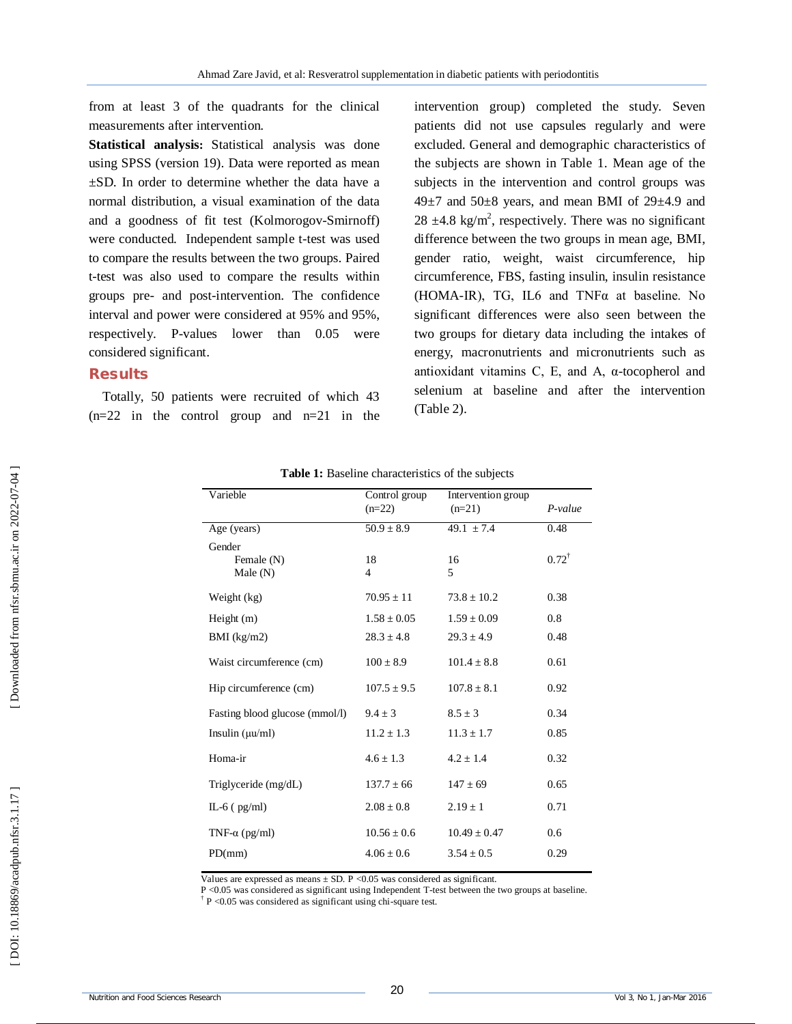from at least 3 of the quadrants for the clinical measurements after intervention.

**Statistical analysis:** Statistical analysis was done using SPSS (version 19). Data were reported as mean ±SD. In order to determine whether the data have a normal distribution, a visual examination of the data and a goodness of fit test (Kolmorogov -Smirnoff) were conducted. Independent sample t -test was used to compare the results between the two groups. Paired t-test was also used to compare the results within groups pre - and post -intervention. The confidence interval and power were considered at 95% and 95%, respectively. P -values lower than 0.05 were considered significant .

# **Results**

Totally, 50 patients were recruited of which 43  $(n=22$  in the control group and  $n=21$  in the intervention group) completed the study. Seven patients did not use capsules regularly and were excluded. General and demographic characteristics of the subjects are shown in Table 1. Mean age of the subjects in the intervention and control groups was  $49\pm7$  and  $50\pm8$  years, and mean BMI of  $29\pm4.9$  and 28  $\pm$ 4.8 kg/m<sup>2</sup>, respectively. There was no significant difference between the two groups in mean age, BMI, gender ratio, weight, waist circumference, hip circumference, FBS, fasting insulin, insulin resistance (HOMA -IR), TG, IL6 and TNFα at baseline. No significant differences were also seen between the two groups for dietary data including the intakes of energy, macronutrients and micronutrients such as antioxidant vitamins C, E, and A, α -tocopherol and selenium at baseline and after the intervention (Table 2).

| Varieble                           | Control group<br>$(n=22)$         | Intervention group<br>$(n=21)$    | $P-value$        |
|------------------------------------|-----------------------------------|-----------------------------------|------------------|
| Age (years)                        | $50.9 \pm 8.9$                    | 49.1 $\pm 7.4$                    | 0.48             |
| Gender<br>Female (N)<br>Male $(N)$ | 18<br>4                           | 16<br>5                           | $0.72^{\dagger}$ |
| Weight (kg)                        | $70.95 \pm 11$                    | $73.8 + 10.2$                     | 0.38             |
| Height $(m)$<br>$BMI$ (kg/m2)      | $1.58 \pm 0.05$<br>$28.3 \pm 4.8$ | $1.59 \pm 0.09$<br>$29.3 \pm 4.9$ | 0.8<br>0.48      |
| Waist circumference (cm)           | $100 \pm 8.9$                     | $101.4 \pm 8.8$                   | 0.61             |
| Hip circumference (cm)             | $107.5 \pm 9.5$                   | $107.8 \pm 8.1$                   | 0.92             |
| Fasting blood glucose (mmol/l)     | $9.4 \pm 3$                       | $8.5 \pm 3$                       | 0.34             |
| Insulin $(\mu\mu/m)$               | $11.2 \pm 1.3$                    | $11.3 \pm 1.7$                    | 0.85             |
| Homa-ir                            | $4.6 \pm 1.3$                     | $4.2 \pm 1.4$                     | 0.32             |
| Triglyceride (mg/dL)               | $137.7 \pm 66$                    | $147 \pm 69$                      | 0.65             |
| $IL-6$ ( $pg/ml$ )                 | $2.08 \pm 0.8$                    | $2.19 \pm 1$                      | 0.71             |
| TNF- $\alpha$ (pg/ml)              | $10.56 \pm 0.6$                   | $10.49 \pm 0.47$                  | 0.6              |
| PD(mm)                             | $4.06 \pm 0.6$                    | $3.54 \pm 0.5$                    | 0.29             |

**Table 1:** Baseline characteristics of the subjects

Values are expressed as means  $\pm$  SD. P < 0.05 was considered as significant.

P <0.05 was considered as significant using Independent T -test between the two groups at baseline.

† P <0.05 was considered as significant using chi -square test.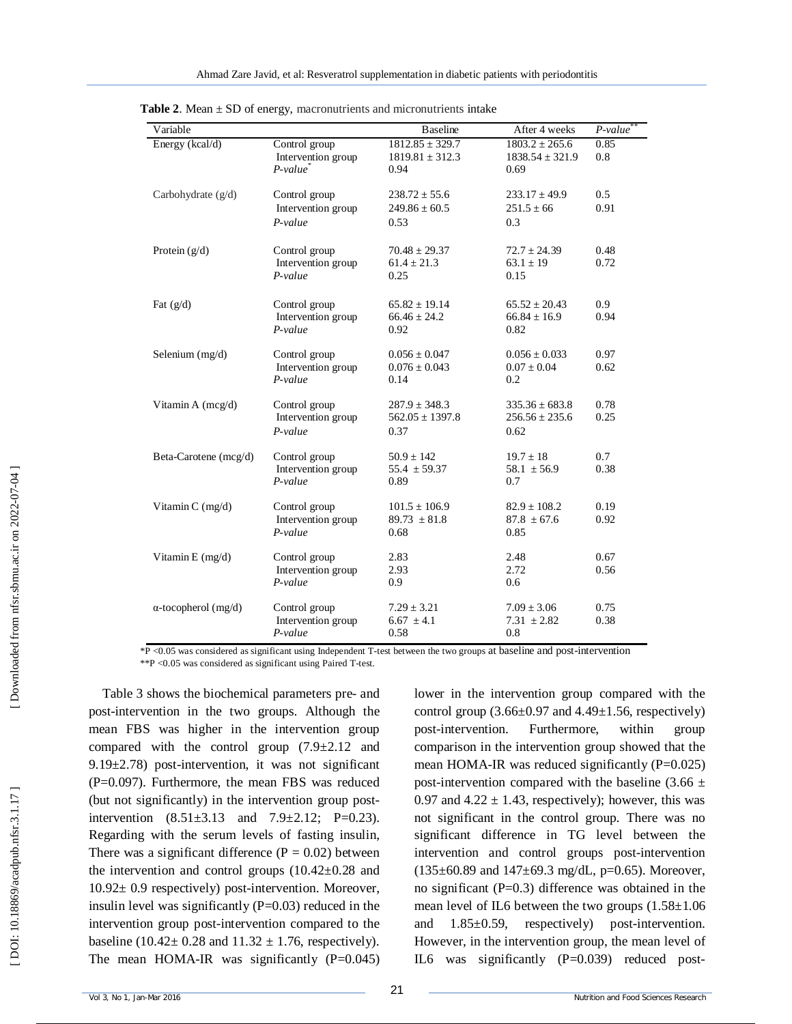| Variable                    |                                                    | <b>Baseline</b>                                    | After 4 weeks                                     | $P-value^*$  |
|-----------------------------|----------------------------------------------------|----------------------------------------------------|---------------------------------------------------|--------------|
| Energy (kcal/d)             | Control group<br>Intervention group<br>$P-value^*$ | $1812.85 \pm 329.7$<br>$1819.81 \pm 312.3$<br>0.94 | $1803.2 \pm 265.6$<br>$1838.54 \pm 321.9$<br>0.69 | 0.85<br>0.8  |
| Carbohydrate $(g/d)$        | Control group<br>Intervention group<br>$P-value$   | $238.72 \pm 55.6$<br>$249.86 \pm 60.5$<br>0.53     | $233.17 \pm 49.9$<br>$251.5 \pm 66$<br>0.3        | 0.5<br>0.91  |
| Protein $(g/d)$             | Control group<br>Intervention group<br>$P-value$   | $70.48 \pm 29.37$<br>$61.4 \pm 21.3$<br>0.25       | $72.7 \pm 24.39$<br>$63.1 \pm 19$<br>0.15         | 0.48<br>0.72 |
| Fat $(g/d)$                 | Control group<br>Intervention group<br>$P-value$   | $65.82 \pm 19.14$<br>$66.46 \pm 24.2$<br>0.92      | $65.52 \pm 20.43$<br>$66.84 \pm 16.9$<br>0.82     | 0.9<br>0.94  |
| Selenium $(mg/d)$           | Control group<br>Intervention group<br>$P-value$   | $0.056 \pm 0.047$<br>$0.076 \pm 0.043$<br>0.14     | $0.056 \pm 0.033$<br>$0.07 \pm 0.04$<br>0.2       | 0.97<br>0.62 |
| Vitamin A (mcg/d)           | Control group<br>Intervention group<br>$P-value$   | $287.9 \pm 348.3$<br>$562.05 \pm 1397.8$<br>0.37   | $335.36 \pm 683.8$<br>$256.56 \pm 235.6$<br>0.62  | 0.78<br>0.25 |
| Beta-Carotene (mcg/d)       | Control group<br>Intervention group<br>$P-value$   | $50.9 \pm 142$<br>$55.4 \pm 59.37$<br>0.89         | $19.7 \pm 18$<br>$58.1 \pm 56.9$<br>0.7           | 0.7<br>0.38  |
| Vitamin $C$ (mg/d)          | Control group<br>Intervention group<br>$P-value$   | $101.5 \pm 106.9$<br>$89.73 \pm 81.8$<br>0.68      | $82.9 \pm 108.2$<br>$87.8 \pm 67.6$<br>0.85       | 0.19<br>0.92 |
| Vitamin E $(mg/d)$          | Control group<br>Intervention group<br>$P-value$   | 2.83<br>2.93<br>0.9                                | 2.48<br>2.72<br>0.6                               | 0.67<br>0.56 |
| $\alpha$ -tocopherol (mg/d) | Control group<br>Intervention group<br>$P-value$   | $7.29 \pm 3.21$<br>$6.67 \pm 4.1$<br>0.58          | $7.09 \pm 3.06$<br>$7.31 \pm 2.82$<br>0.8         | 0.75<br>0.38 |

**Table 2.** Mean  $\pm$  SD of energy, macronutrients and micronutrients intake

\*P <0.05 was considered as significant using Independent T -test between the two groups at baseline and post -intervention \*\*P <0.05 was considered as significant using Paired T -test.

Table 3 shows the biochemical parameters pre - and post -intervention in the two groups. Although the mean FBS was higher in the intervention group compared with the control group (7.9±2.12 and 9.19±2.78) post -intervention, it was not significant (P=0.097). Furthermore, the mean FBS was reduced (but not significantly) in the intervention group post intervention  $(8.51 \pm 3.13$  and  $7.9 \pm 2.12$ ; P=0.23). Regarding with the serum levels of fasting insulin, There was a significant difference  $(P = 0.02)$  between the intervention and control groups  $(10.42\pm0.28$  and 10.92± 0.9 respectively) post -intervention. Moreover, insulin level was significantly  $(P=0.03)$  reduced in the intervention group post -intervention compared to the baseline (10.42 $\pm$  0.28 and 11.32  $\pm$  1.76, respectively). The mean HOMA-IR was significantly  $(P=0.045)$  lower in the intervention group compared with the control group  $(3.66\pm0.97 \text{ and } 4.49\pm1.56,$  respectively) post -intervention. Furthermore, within group comparison in the intervention group showed that the mean HOMA-IR was reduced significantly (P=0.025) post-intervention compared with the baseline  $(3.66 \pm$ 0.97 and  $4.22 \pm 1.43$ , respectively); however, this was not significant in the control group. There was no significant difference in TG level between the intervention and control groups post -intervention  $(135\pm60.89$  and  $147\pm69.3$  mg/dL, p=0.65). Moreover, no significant ( $P=0.3$ ) difference was obtained in the mean level of IL6 between the two groups  $(1.58 \pm 1.06$ and 1.85±0.59, respectively) post -intervention. However, in the intervention group, the mean level of IL6 was significantly (P=0.039) reduced post -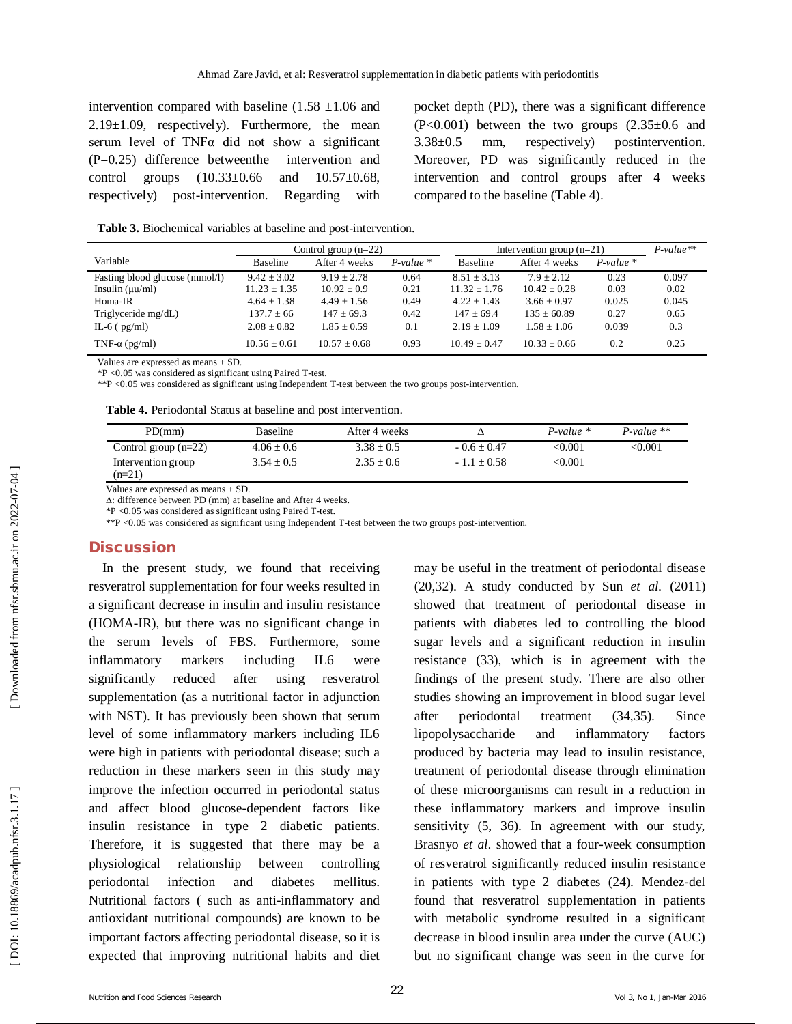intervention compared with baseline  $(1.58 \pm 1.06)$  and  $2.19\pm1.09$ , respectively). Furthermore, the mean serum level of TNFα did not show a significant (P=0.25) difference betweenthe intervention and control groups (10.33±0.66 and 10.57±0.68, respectively) post -intervention. Regarding with

pocket depth (PD), there was a significant difference  $(P<0.001)$  between the two groups  $(2.35\pm0.6)$  and 3.38±0.5 mm, respectively) postintervention. Moreover, PD was significantly reduced in the intervention and control groups after 4 weeks compared to the baseline (Table 4).

Table 3. Biochemical variables at baseline and post-intervention.

|                                | Control group $(n=22)$ |                  | Intervention group $(n=21)$ |                 |                 | $P-value**$ |       |
|--------------------------------|------------------------|------------------|-----------------------------|-----------------|-----------------|-------------|-------|
| Variable                       | <b>Baseline</b>        | After 4 weeks    | $P-value$ *                 | <b>Baseline</b> | After 4 weeks   | $P-value$ * |       |
| Fasting blood glucose (mmol/l) | $9.42 \pm 3.02$        | $9.19 + 2.78$    | 0.64                        | $8.51 + 3.13$   | $7.9 + 2.12$    | 0.23        | 0.097 |
| Insulin $(\mu\mu/ml)$          | $11.23 + 1.35$         | $10.92 + 0.9$    | 0.21                        | $11.32 + 1.76$  | $10.42 + 0.28$  | 0.03        | 0.02  |
| Homa-IR                        | $4.64 \pm 1.38$        | $4.49 + 1.56$    | 0.49                        | $4.22 + 1.43$   | $3.66 + 0.97$   | 0.025       | 0.045 |
| Triglyceride mg/dL)            | $137.7 + 66$           | $147 \pm 69.3$   | 0.42                        | $147 \pm 69.4$  | $135 \pm 60.89$ | 0.27        | 0.65  |
| IL-6 $(pg/ml)$                 | $2.08 \pm 0.82$        | $1.85 + 0.59$    | 0.1                         | $2.19 + 1.09$   | $1.58 + 1.06$   | 0.039       | 0.3   |
| TNF- $\alpha$ (pg/ml)          | $10.56 \pm 0.61$       | $10.57 \pm 0.68$ | 0.93                        | $10.49 + 0.47$  | $10.33 + 0.66$  | 0.2         | 0.25  |

Values are expressed as means  $\pm$  SD.

\*P <0.05 was considered as significant using Paired T -test.

\*\*P <0.05 was considered as significant using Independent T -test between the two groups post -intervention.

**Table 4.** Periodontal Status at baseline and post intervention.

| PD/mm                          | <b>Baseline</b> | After 4 weeks  |               | $P-value$ *    | $P-value$ **              |
|--------------------------------|-----------------|----------------|---------------|----------------|---------------------------|
| Control group $(n=22)$         | $4.06 \pm 0.6$  | $3.38 \pm 0.5$ | $-0.6 + 0.47$ | < 0.001        | $< \hspace{-0.06in}0.001$ |
| Intervention group<br>$(n=21)$ | $3.54 + 0.5$    | $2.35 + 0.6$   | $-1.1 + 0.58$ | $<$ 0.001 $\,$ |                           |

Values are expressed as means  $\pm$  SD.

Δ: difference between PD (mm) at baseline and After 4 weeks.

\*P <0.05 was considered as significant using Paired T -test.

\*\*P <0.05 was considered as significant using Independent T -test between the two groups post -intervention.

#### **Discussion**

In the present study, we found that receiving resveratrol supplementation for four weeks resulted in a significant decrease in insulin and insulin resistance (HOMA -IR), but there was no significant change in the serum levels of FBS . Furthermore, some inflammatory markers including IL6 were significantly reduced after using resveratrol supplementation (as a nutritional factor in adjunction with NST). It has previously been shown that serum level of some inflammatory markers including IL6 were high in patients with periodontal disease; such a reduction in these markers seen in this study may improve the infection occurred in periodontal status and affect blood glucose -dependent factors like insulin resistance in type 2 diabetic patients. Therefore, it is suggested that there may be a physiological relationship between controlling periodontal infection and diabetes mellitus. Nutritional factors ( such as anti -inflammatory and antioxidant nutritional compounds) are known to be important factors affecting periodontal disease, so it is expected that improving nutritional habits and diet

may be useful in the treatment of periodontal disease (20,32). A study conducted by Sun *et al.* (2011) showed that treatment of periodontal disease in patients with diabetes led to controlling the blood sugar levels and a significant reduction in insulin resistance (33), which is in agreement with the findings of the present study. There are also other studies showing an improvement in blood sugar level after periodontal treatment (34,35). Since lipopolysaccharide and inflammatory factors produced by bacteria may lead to insulin resistance, treatment of periodontal disease through elimination of these microorganisms can result in a reduction in these inflammatory markers and improve insulin sensitivity (5, 36). In agreement with our study, Brasnyo *et al.* showed that a four -week consumption of resveratrol significantly reduced insulin resistance in patients with type 2 diabetes (24). Mendez -del found that resveratrol supplementation in patients with metabolic syndrome resulted in a significant decrease in blood insulin area under the curve (AUC ) but no significant change was seen in the curve for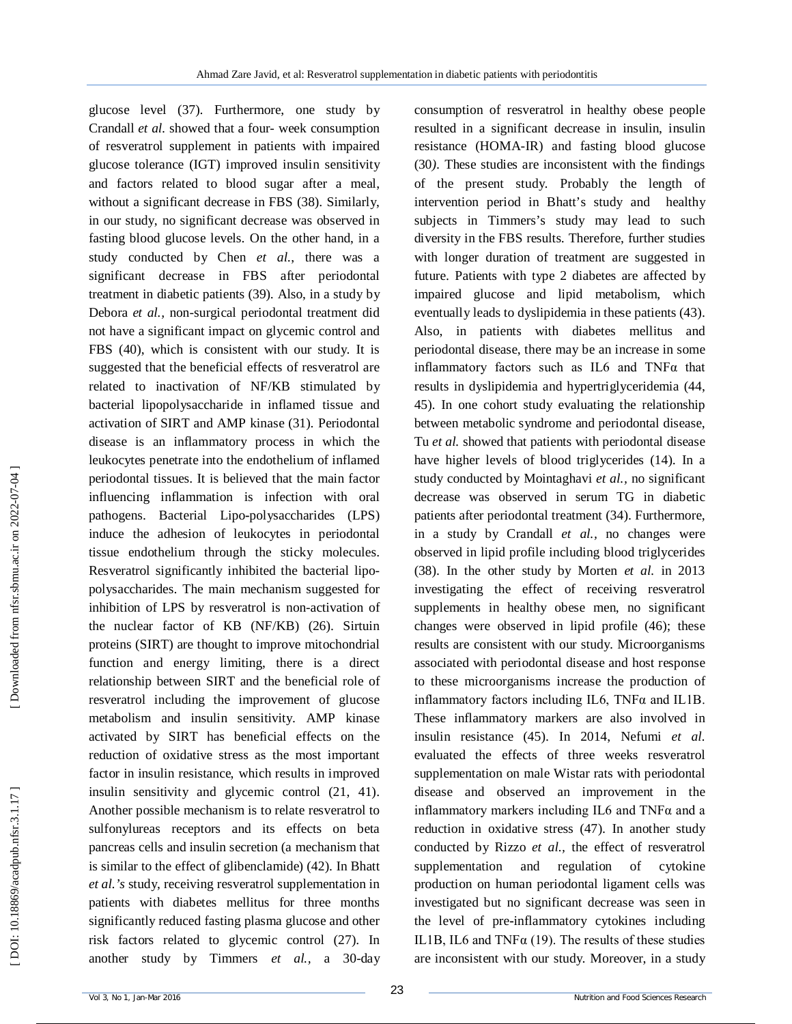glucose level (37). Furthermore, one study by Crandall *et al.* showed that a four - week consumption of resveratrol supplement in patients with impaired glucose tolerance (IGT) improved insulin sensitivity and factors related to blood sugar after a meal, without a significant decrease in FBS (38). Similarly, in our study, no significant decrease was observed in fasting blood glucose levels. On the other hand, in a study conducted by Chen *et al.*, there was a significant decrease in FBS after periodontal treatment in diabetic patients (39). Also, in a study by Debora *et al.,* non -surgical periodontal treatment did not have a significant impact on glycemic control and FBS (40), which is consistent with our study. It is suggested that the beneficial effects of resveratrol are related to inactivation of NF/KB stimulated by bacterial lipopolysaccharide in inflamed tissue and activation of SIRT and AMP kinase (31). Periodontal disease is an inflammatory process in which the leukocytes penetrate into the endothelium of inflamed periodontal tissues. It is believed that the main factor influencing inflammation is infection with oral pathogens. Bacterial Lipo **-**polysaccharides (LPS) induce the adhesion of leukocytes in periodontal tissue endothelium through the sticky molecules. Resveratrol significantly inhibited the bacterial lipo polysaccharides. The main mechanism suggested for inhibition of LPS by resveratrol is non -activation of the nuclear factor of KB (NF/KB) (26). Sirtuin proteins (SIRT) are thought to improve mitochondrial function and energy limiting, there is a direct relationship between SIRT and the beneficial role of resveratrol including the improvement of glucose metabolism and insulin sensitivity. AMP kinase activated by SIRT has beneficial effects on the reduction of oxidative stress as the most important factor in insulin resistance, which results in improved insulin sensitivity and glycemic control (21, 41). Another possible mechanism is to relate resveratrol to sulfonylureas receptors and its effects on beta pancreas cells and insulin secretion (a mechanism that is similar to the effect of glibenclamide) (42). In Bhatt *et al.'s* study, receiving resveratrol supplementation in patients with diabetes mellitus for three months significantly reduced fasting plasma glucose and other risk factors related to glycemic control (27). In another study by Timmers *et al.,* a 30 -day

consumption of resveratrol in healthy obese people resulted in a significant decrease in insulin, insulin resistance (HOMA -IR) and fasting blood glucose (30*).* These studies are inconsistent with the findings of the present study. Probably the length of intervention period in Bhatt's study and healthy subjects in Timmers's study may lead to such diversity in the FBS results. Therefore, further studies with longer duration of treatment are suggested in future . Patients with type 2 diabetes are affected by impaired glucose and lipid metabolism, which eventually leads to dyslipidemia in these patients (43). Also, in patients with diabetes mellitus and periodontal disease, there may be an increase in some inflammatory factors such as IL6 and TNFα that results in dyslipidemia and hypertriglyceridemia (44, 45). In one cohort study evaluating the relationship between metabolic syndrome and periodontal disease, Tu *et al.* showed that patients with periodontal disease have higher levels of blood triglycerides (14). In a study conducted by Mointaghavi *et al.,* no significant decrease was observed in serum TG in diabetic patients after periodontal treatment (34). Furthermore, in a study by Crandall *et al.,* no changes were observed in lipid profile including blood triglycerides (38). In the other study by Morten *et al.* in 2013 investigating the effect of receiving resveratrol supplements in healthy obese men, no significant changes were observed in lipid profile (46); these results are consistent with our study. Microorganisms associated with periodontal disease and host response to these microorganisms increase the production of inflammatory factors including IL6,  $TNF\alpha$  and IL1B. These inflammatory markers are also involved in insulin resistance (45). In 2014, Nefumi *et al.*  evaluated the effects of three weeks resveratrol supplementation on male Wistar rats with periodontal disease and observed an improvement in the inflammatory markers including IL6 and TNFα and a reduction in oxidative stress (47). In another study conducted by Rizzo *et al.,* the effect of resveratrol supplementation and regulation of cytokine production on human periodontal ligament cells was investigated but no significant decrease was seen in the level of pre **-**inflammatory cytokines including IL1B, IL6 and TNF $\alpha$  (19). The results of these studies are inconsistent with our study. Moreover, in a study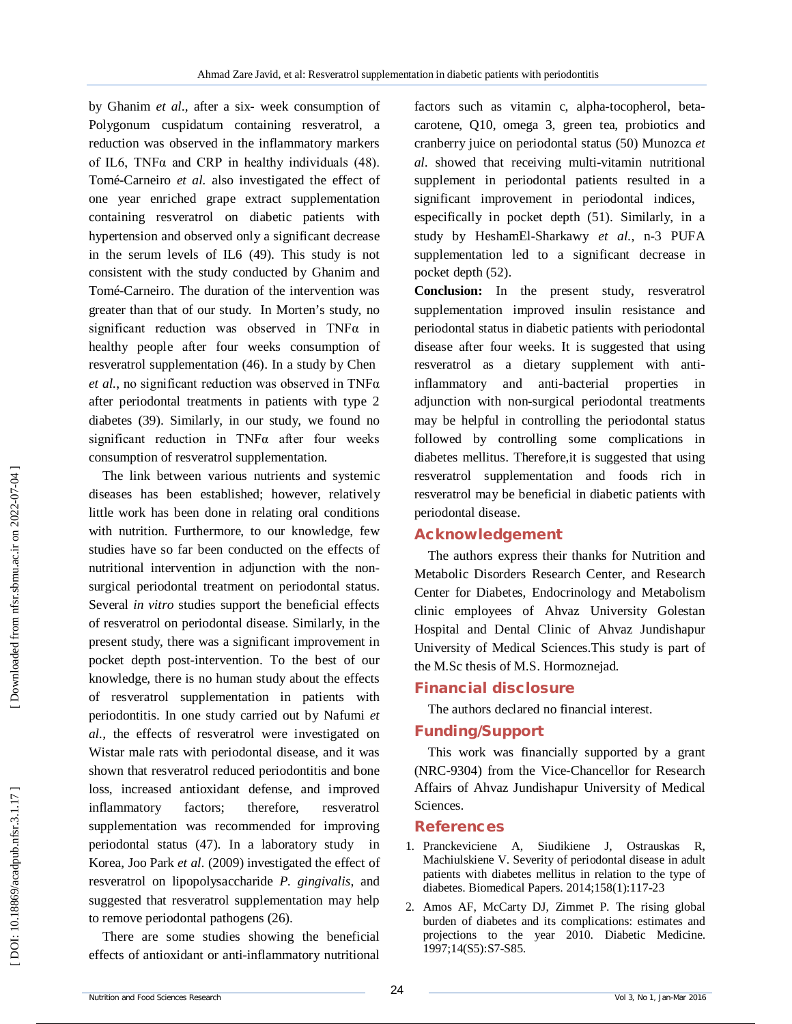by Ghanim *et al.,* after a six - week consumption of Polygonum cuspidatum containing resveratrol, a reduction was observed in the inflammatory markers of IL6, TNF $\alpha$  and CRP in healthy individuals (48). Tomé **-**Carneiro *et al.* also investigated the effect of one year enriched grape extract supplementation containing resveratrol on diabetic patients with hypertension and observed only a significant decrease in the serum levels of IL6 (49). This study is not consistent with the study conducted by Ghanim and Tomé **-**Carneiro . The duration of the intervention was greater than that of our study. In Morten's study, no significant reduction was observed in TNFα in healthy people after four weeks consumption of resveratrol supplementation (46). In a study by Chen *et al.*, no significant reduction was observed in TNFα after periodontal treatments in patients with type 2 diabetes (39). Similarly, in our study, we found no significant reduction in  $TNF\alpha$  after four weeks consumption of resveratrol supplementation.

The link between various nutrients and systemic diseases has been established; however, relatively little work has been done in relating oral conditions with nutrition. Furthermore, to our knowledge, few studies have so far been conducted on the effects of nutritional intervention in adjunction with the non surgical periodontal treatment on periodontal status. Several *in vitro* studies support the beneficial effects of resveratrol on periodontal disease . Similarly, in the present study, there was a significant improvement in pocket depth post -intervention . To the best of our knowledge, there is no human study about the effects of resveratrol supplementation in patients with periodontitis. In one study carried out by Nafumi *et al.,* the effects of resveratrol were investigated on Wistar male rats with periodontal disease, and it was shown that resveratrol reduced periodontitis and bone loss, increased antioxidant defense, and improved inflammatory factors; therefore, resveratrol supplementation was recommended for improving periodontal status (47). In a laboratory study in Korea, Joo Park *et al.* (2009) investigated the effect of resveratrol on lipopolysaccharide *P. gingivalis*, and suggested that resveratrol supplementation may help to remove periodontal pathogens (26).

There are some studies showing the beneficial effects of antioxidant or anti -inflammatory nutritional

factors such as vitamin c, alpha-tocopherol, betacarotene, Q10, omega 3, green tea, probiotics and cranberry juice on periodontal status (50) Munozca *et*  al. showed that receiving multi-vitamin nutritional supplement in periodontal patients resulted in a significant improvement in periodontal indices, especifically in pocket depth (51). Similarly, in a study by HeshamEl -Sharkawy *et al.,* n -3 PUFA supplementation led to a significant decrease in pocket depth (52) .

**Conclusion:** In the present study, resveratrol supplementation improved insulin resistance and periodontal status in diabetic patients with periodontal disease after four weeks . It is suggested that using resveratrol as a dietary supplement with anti inflammatory and anti -bacterial properties in adjunction with non -surgical periodontal treatments may be helpful in controlling the periodontal status followed by controlling some complications in diabetes mellitus . Therefore,it is suggested that using resveratrol supplementation and foods rich in resveratrol may be beneficial in diabetic patients with periodontal disease .

# **Acknowledgement**

The authors express their thanks for Nutrition and Metabolic Disorders Research Center, and Research Center for Diabetes, Endocrinology and Metabolism clinic employees of Ahvaz University Golestan Hospital and Dental Clinic of Ahvaz Jundishapur University of Medical Sciences.This study is part of the M.Sc thesis of M.S. Hormoznejad.

# **Financial disclosure**

The authors declared no financial interest.

# **Funding/Support**

This work was financially supported by a grant (NRC -9304) from the Vice -Chancellor for Research Affairs of Ahvaz Jundishapur University of Medical Sciences.

# **References**

- 1. Pranckeviciene A, Siudikiene J, Ostrauskas R, Machiulskiene V. Severity of periodontal disease in adult patients with diabetes mellitus in relation to the type of diabetes. Biomedical Papers. 2014;158(1):117 -23
- 2. Amos AF, McCarty DJ, Zimmet P. The rising global burden of diabetes and its complications: estimates and projections to the year 2010. Diabetic Medicine. 1997;14(S5):S7 -S85 .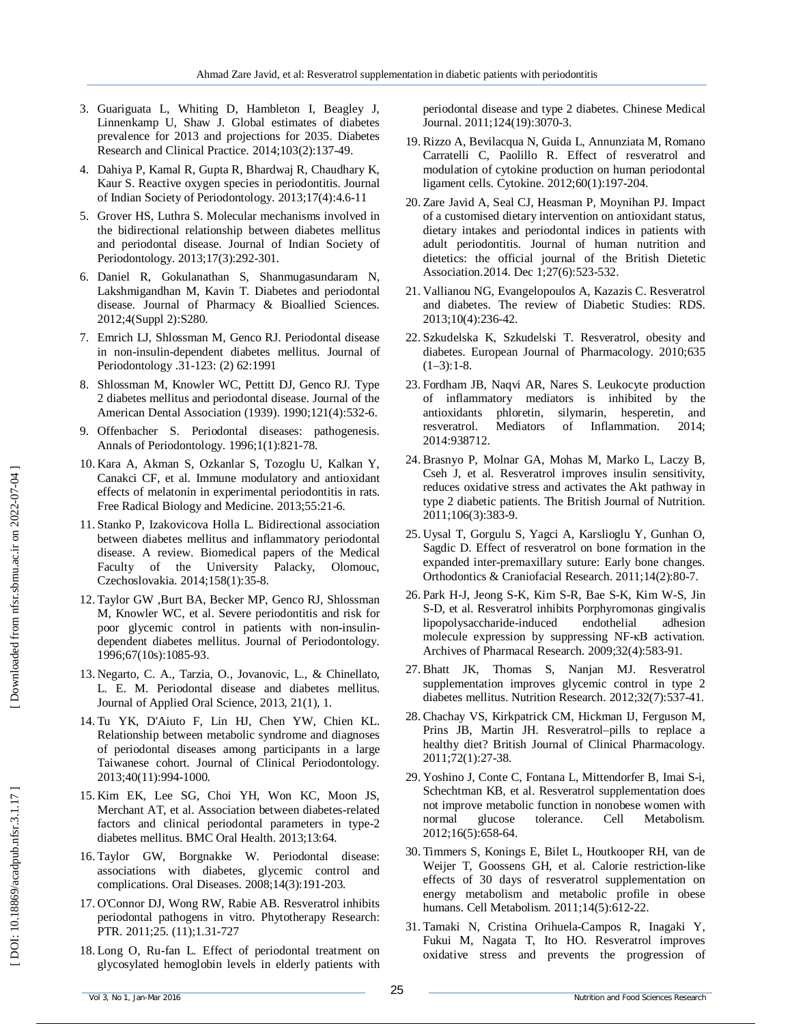- 3. Guariguata L, Whiting D, Hambleton I, Beagley J, Linnenkamp U, Shaw J. Global estimates of diabetes prevalence for 2013 and projections for 2035. Diabetes Research and Clinical Practice. 2014;103(2):137 -49 .
- 4. Dahiya P, Kamal R, Gupta R, Bhardwaj R, Chaudhary K, Kaur S. Reactive oxygen species in periodontitis. Journal of Indian Society of Periodontology. 2013;17(4):4 . 6 -11
- 5. Grover HS, Luthra S. Molecular mechanisms involved in the bidirectional relationship between diabetes mellitus and periodontal disease. Journal of Indian Society of Periodontology. 2013;17(3):292 -301 .
- 6. Daniel R, Gokulanathan S, Shanmugasundaram N, Lakshmigandhan M, Kavin T. Diabetes and periodontal disease. Journal of Pharmacy & Bioallied Sciences. 2012;4(Suppl 2):S280 .
- 7. Emrich LJ, Shlossman M, Genco RJ. Periodontal disease in non -insulin -dependent diabetes mellitus. Journal of Periodontology .31 -123: (2) 62:1991
- 8 . Shlossman M, Knowler WC, Pettitt DJ, Genco RJ. Type 2 diabetes mellitus and periodontal disease. Journal of the American Dental Association (1939). 1990;121(4):532 - 6 .
- 9 . Offenbacher S. Periodontal diseases: pathogenesis. Annals of Periodontology. 1996;1(1):821 -78 .
- 10 . Kara A, Akman S, Ozkanlar S, Tozoglu U, Kalkan Y, Canakci CF, et al. Immune modulatory and antioxidant effects of melatonin in experimental periodontitis in rats. Free Radical Biology and Medicine. 2013;55:21 - 6 .
- 11 . Stanko P, Izakovicova Holla L. Bidirectional association between diabetes mellitus and inflammatory periodontal disease. A review. Biomedical papers of the Medical Faculty of the University Palacky, Olomouc, Czechoslovakia. 2014;158(1):35 - 8 .
- 12 . Taylor GW ,Burt BA, Becker MP, Genco RJ, Shlossman M, Knowler WC, et al. Severe periodontitis and risk for poor glycemic control in patients with non -insulin dependent diabetes mellitus. Journal of Periodontology. 1996;67(10s):1085-93.
- 13 . Negarto, C. A., Tarzia, O., Jovanovic, L., & Chinellato, L. E. M. Periodontal disease and diabetes mellitus. Journal of Applied Oral Science, 2013, 21(1), 1 .
- 14. Tu YK, D'Aiuto F, Lin HJ, Chen YW, Chien KL. Relationship between metabolic syndrome and diagnoses of periodontal diseases among participants in a large Taiwanese cohort. Journal of Clinical Periodontology. 2013;40(11):994 -1000 .
- 15. Kim EK, Lee SG, Choi YH, Won KC, Moon JS, Merchant AT, et al. Association between diabetes -related factors and clinical periodontal parameters in type -2 diabetes mellitus. BMC Oral Health. 2013;13:64 .
- 16 . Taylor GW, Borgnakke W. Periodontal disease: associations with diabetes, glycemic control and complications. Oral Diseases. 2008;14(3):191 -203 .
- 17 . O'Connor DJ, Wong RW, Rabie AB. Resveratrol inhibits periodontal pathogens in vitro. Phytotherapy Research: PTR. 2011;25. (11);1.31 -727
- 18. Long O, Ru -fan L. Effect of periodontal treatment on glycosylated hemoglobin levels in elderly patients with

periodontal disease and type 2 diabetes. Chinese Medical Journal. 2011;124(19):3070 - 3 .

- 19. Rizzo A, Bevilacqua N, Guida L, Annunziata M, Romano Carratelli C, Paolillo R. Effect of resveratrol and modulation of cytokine production on human periodontal ligament cells. Cytokine. 2012;60(1):197 -204 .
- 20 . Zare Javid A, Seal CJ, Heasman P, Moynihan PJ. Impact of a customised dietary intervention on antioxidant status, dietary intakes and periodontal indices in patients with adult periodontitis. Journal of human nutrition and dietetics: the official journal of the British Dietetic Association.2014. Dec 1;27(6):523 - 532.
- 21. Vallianou NG, Evangelopoulos A, Kazazis C. Resveratrol and diabetes. The review of Diabetic Studies: RDS. 2013;10(4):236 -42 .
- 22. Szkudelska K, Szkudelski T. Resveratrol, obesity and diabetes. European Journal of Pharmacology. 2010;635  $(1-3):1-8.$
- 23. Fordham JB, Naqvi AR, Nares S. Leukocyte production of inflammatory mediators is inhibited by the antioxidants phloretin, silymarin, hesperetin, and resveratrol. Mediators of Inflammation. 2014; 2014:938712 .
- 24. Brasnyo P, Molnar GA, Mohas M, Marko L, Laczy B, Cseh J, et al. Resveratrol improves insulin sensitivity, reduces oxidative stress and activates the Akt pathway in type 2 diabetic patients. The British Journal of Nutrition. 2011;106(3):383 - 9 .
- 25. Uysal T, Gorgulu S, Yagci A, Karslioglu Y, Gunhan O, Sagdic D. Effect of resveratrol on bone formation in the expanded inter -premaxillary suture: Early bone changes. Orthodontics & Craniofacial Research. 2011;14(2):80-7.
- 26 . Park H -J, Jeong S -K, Kim S -R, Bae S -K, Kim W -S, Jin S -D, et al. Resveratrol inhibits Porphyromonas gingivalis lipopolysaccharide endothelial adhesion molecule expression by suppressing NF-κB activation. Archives of Pharmacal Research. 2009;32(4):583 -91 .
- 27. Bhatt JK, Thomas S, Nanjan MJ. Resveratrol supplementation improves glycemic control in type 2 diabetes mellitus. Nutrition Research. 2012;32(7):537 -41 .
- 28. Chachay VS, Kirkpatrick CM, Hickman IJ, Ferguson M, Prins JB, Martin JH. Resveratrol-pills to replace a healthy diet? British Journal of Clinical Pharmacology. 2011;72(1):27 -38 .
- 29. Yoshino J, Conte C, Fontana L, Mittendorfer B, Imai S -i, Schechtman KB, et al. Resveratrol supplementation does not improve metabolic function in nonobese women with normal glucose tolerance. Cell Metabolism. 2012;16(5):658 -64 .
- 30. Timmers S, Konings E, Bilet L, Houtkooper RH, van de Weijer T, Goossens GH, et al. Calorie restriction -like effects of 30 days of resveratrol supplementation on energy metabolism and metabolic profile in obese humans. Cell Metabolism. 2011;14(5):612 -22 .
- 31. Tamaki N, Cristina Orihuela -Campos R, Inagaki Y, Fukui M, Nagata T, Ito HO. Resveratrol improves oxidative stress and prevents the progression of